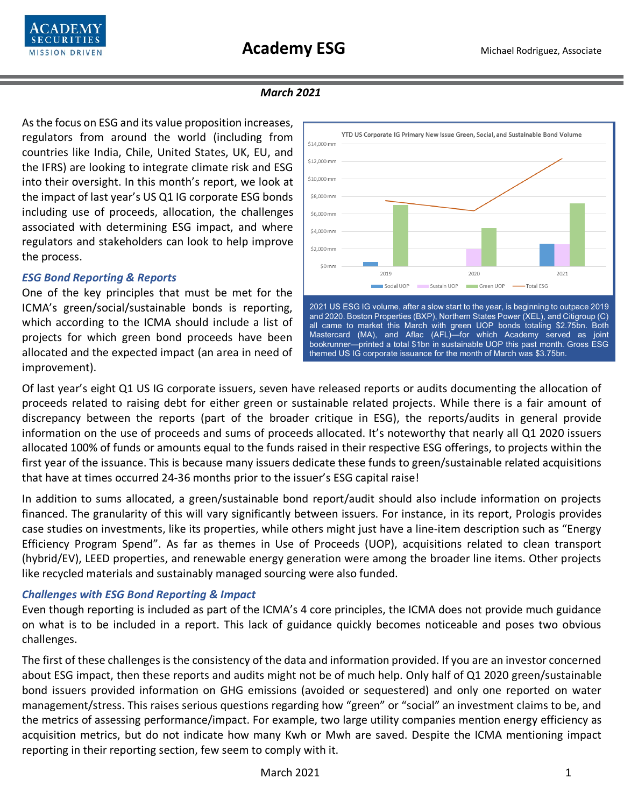

### *March 2021*

As the focus on ESG and its value proposition increases, regulators from around the world (including from countries like India, Chile, United States, UK, EU, and the IFRS) are looking to integrate climate risk and ESG into their oversight. In this month's report, we look at the impact of last year's US Q1 IG corporate ESG bonds including use of proceeds, allocation, the challenges associated with determining ESG impact, and where regulators and stakeholders can look to help improve the process.

## *ESG Bond Reporting & Reports*

One of the key principles that must be met for the ICMA's green/social/sustainable bonds is reporting, which according to the ICMA should include a list of projects for which green bond proceeds have been allocated and the expected impact (an area in need of improvement).



and 2020. Boston Properties (BXP), Northern States Power (XEL), and Citigroup (C) all came to market this March with green UOP bonds totaling \$2.75bn. Both Mastercard (MA), and Aflac (AFL)—for which Academy served as joint bookrunner—printed a total \$1bn in sustainable UOP this past month. Gross ESG themed US IG corporate issuance for the month of March was \$3.75bn.

Of last year's eight Q1 US IG corporate issuers, seven have released reports or audits documenting the allocation of proceeds related to raising debt for either green or sustainable related projects. While there is a fair amount of discrepancy between the reports (part of the broader critique in ESG), the reports/audits in general provide information on the use of proceeds and sums of proceeds allocated. It's noteworthy that nearly all Q1 2020 issuers allocated 100% of funds or amounts equal to the funds raised in their respective ESG offerings, to projects within the first year of the issuance. This is because many issuers dedicate these funds to green/sustainable related acquisitions that have at times occurred 24-36 months prior to the issuer's ESG capital raise!

In addition to sums allocated, a green/sustainable bond report/audit should also include information on projects financed. The granularity of this will vary significantly between issuers. For instance, in its report, Prologis provides case studies on investments, like its properties, while others might just have a line-item description such as "Energy Efficiency Program Spend". As far as themes in Use of Proceeds (UOP), acquisitions related to clean transport (hybrid/EV), LEED properties, and renewable energy generation were among the broader line items. Other projects like recycled materials and sustainably managed sourcing were also funded.

# *Challenges with ESG Bond Reporting & Impact*

Even though reporting is included as part of the ICMA's 4 core principles, the ICMA does not provide much guidance on what is to be included in a report. This lack of guidance quickly becomes noticeable and poses two obvious challenges.

The first of these challenges is the consistency of the data and information provided. If you are an investor concerned about ESG impact, then these reports and audits might not be of much help. Only half of Q1 2020 green/sustainable bond issuers provided information on GHG emissions (avoided or sequestered) and only one reported on water management/stress. This raises serious questions regarding how "green" or "social" an investment claims to be, and the metrics of assessing performance/impact. For example, two large utility companies mention energy efficiency as acquisition metrics, but do not indicate how many Kwh or Mwh are saved. Despite the ICMA mentioning impact reporting in their reporting section, few seem to comply with it.